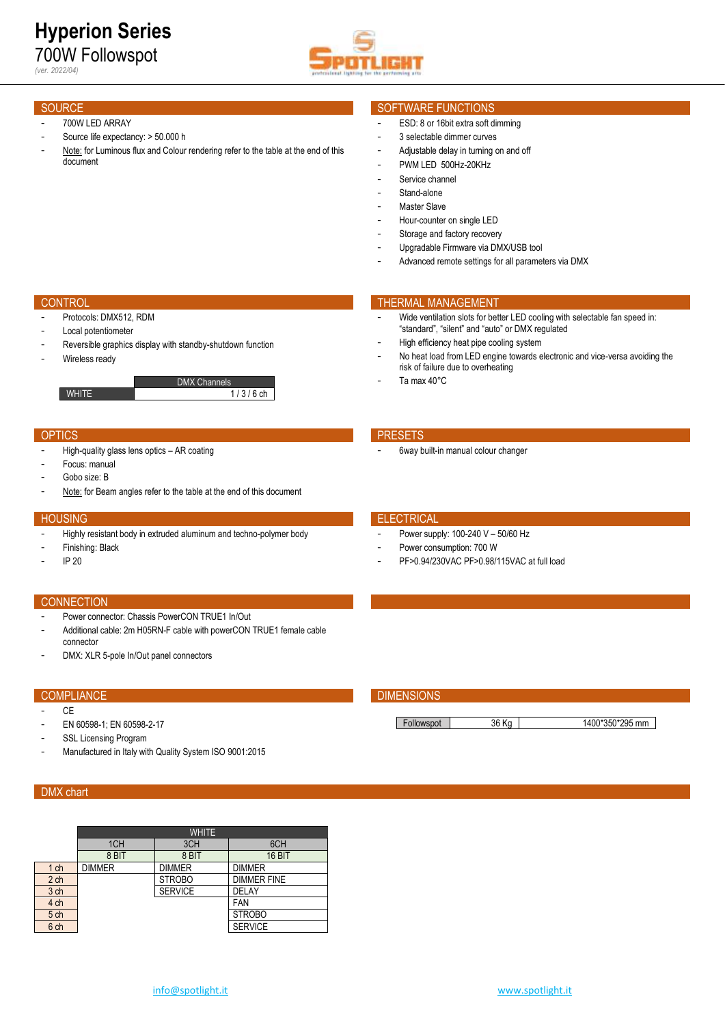

- 700W LED ARRAY
- Source life expectancy: > 50.000 h
- Note: for Luminous flux and Colour rendering refer to the table at the end of this document

# SOURCE SOURCE SOFTWARE FUNCTIONS

- ESD: 8 or 16bit extra soft dimming
- 3 selectable dimmer curves
- Adjustable delay in turning on and off
- PWM LED 500Hz-20KHz
- Service channel
- Stand-alone
- Master Slave
- Hour-counter on single LED
- Storage and factory recovery
- Upgradable Firmware via DMX/USB tool

risk of failure due to overheating

6way built-in manual colour changer

Ta max 40°C

- Advanced remote settings for all parameters via DMX

"standard", "silent" and "auto" or DMX regulated High efficiency heat pipe cooling system

Wide ventilation slots for better LED cooling with selectable fan speed in:

No heat load from LED engine towards electronic and vice-versa avoiding the

# **CONTROL THERMAL MANAGEMENT**

- Protocols: DMX512, RDM
- Local potentiometer
- Reversible graphics display with standby-shutdown function
- Wireless ready

DMX Channels **WHITE** 1/3/6 ch

### OPTICS **PRESETS**

- High-quality glass lens optics AR coating
- Focus: manual
- Gobo size: B
- Note: for Beam angles refer to the table at the end of this document

### HOUSING ELECTRICAL TRANSPORTED TO A RELECTRICAL TRANSPORTED TO A RELECTRICAL TRANSPORTED TO A RELECTRICAL TRANSPORTED TO A RELECTRICAL TRANSPORTED TO A RELECTRICAL TRANSPORTED TO A RELECTRICAL TRANSPORTED TO A RELECTRICAL

- Highly resistant body in extruded aluminum and techno-polymer body
- Finishing: Black
- IP 20

- Power supply: 100-240 V 50/60 Hz
- Power consumption: 700 W
- PF>0.94/230VAC PF>0.98/115VAC at full load

### **CONNECTION**

- Power connector: Chassis PowerCON TRUE1 In/Out
- Additional cable: 2m H05RN-F cable with powerCON TRUE1 female cable connector
- DMX: XLR 5-pole In/Out panel connectors

# COMPLIANCE **COMPLIANCE COMPLIANCE**

- CE
- EN 60598-1; EN 60598-2-17
- SSL Licensing Program
- Manufactured in Italy with Quality System ISO 9001:2015

### DMX chart

|                 | <b>WHITE</b>  |                |                    |  |  |  |  |  |  |  |
|-----------------|---------------|----------------|--------------------|--|--|--|--|--|--|--|
|                 | 1CH           | 3CH            | 6CH                |  |  |  |  |  |  |  |
|                 | 8 BIT         | 8 BIT          | <b>16 BIT</b>      |  |  |  |  |  |  |  |
| 1 <sub>ch</sub> | <b>DIMMER</b> | <b>DIMMER</b>  | <b>DIMMER</b>      |  |  |  |  |  |  |  |
| 2 <sub>ch</sub> |               | <b>STROBO</b>  | <b>DIMMER FINE</b> |  |  |  |  |  |  |  |
| 3 ch            |               | <b>SERVICE</b> | DELAY              |  |  |  |  |  |  |  |
| 4 ch            |               |                | FAN                |  |  |  |  |  |  |  |
| 5 ch            |               |                | <b>STROBO</b>      |  |  |  |  |  |  |  |
| 6 ch            |               |                | <b>SERVICE</b>     |  |  |  |  |  |  |  |

Followspot 36 Kg 1400\*350\*295 mm